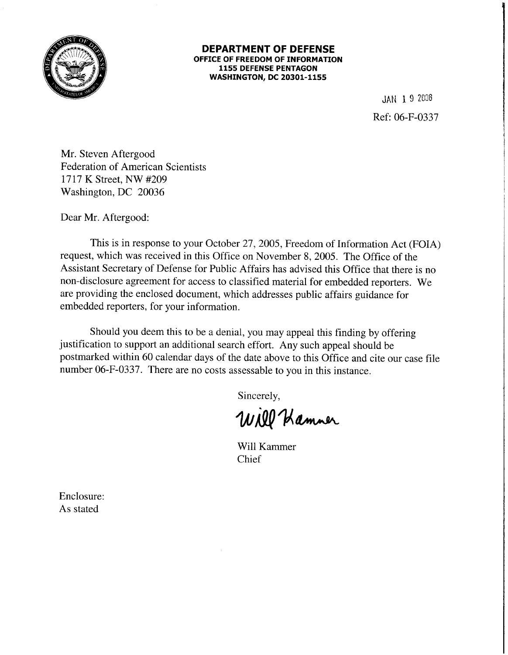

## **DEPARTMENT OF DEFENSE OFFICE OF FREEDOM OF INFORMATION 1155 DEFENSE PENTAGON WASHINGTON, DC 20301-1155**

JAN 1. 9 2006 Ref: 06-F-0337

Mr. Steven Aftergood Federation of American Scientists 1717 K Street, NW #209 Washington, DC 20036

Dear Mr. Aftergood:

This is in response to your October 27, 2005, Freedom of Information Act (FOIA) request, which was received in this Office on November 8, 2005. The Office of the Assistant Secretary of Defense for Public Affairs has advised this Office that there is no non-disclosure agreement for access to classified material for embedded reporters. We are providing the enclosed document, which addresses public affairs guidance for embedded reporters, for your information.

Should you deem this to be a denial, you may appeal this finding by offering justification to support an additional search effort. Any such appeal should be postmarked within 60 calendar days of the date above to this Office and cite our case file number 06-F-0337. There are no costs assessable to you in this instance.

Sincerely,

Will Hamner

Will Kammer Chief

Enclosure: As stated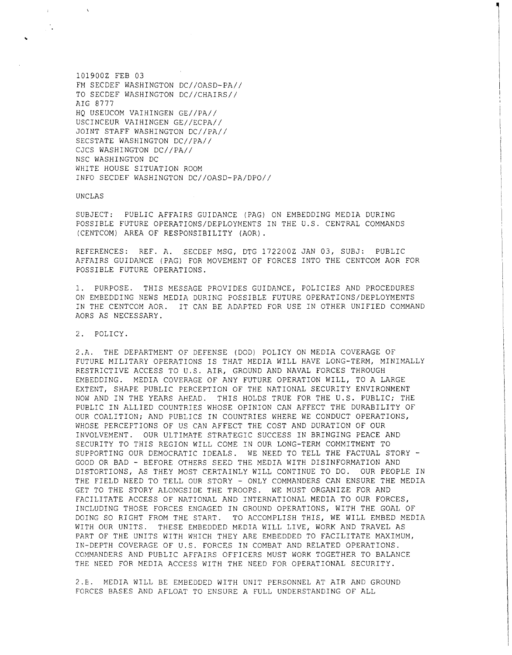1019002 FEB 03 FM SECDEF WASHINGTON DC//OASD-PA// TO SECDEF WASHINGTON DC//CHAIRS// AIG 8777 HQ USEUCOM VAIHINGEN GE//PA// USCINCEUR VAIHINGEN GE//ECPA// JOINT STAFF WASHINGTON DC//PA// SECSTATE WASHINGTON DC//PA// CJCS WASHINGTON DC//PA// NSC WASHINGTON DC WHITE HOUSE SITUATION ROOM INFO SECDEF WASHINGTON DC//OASD-PA/DPO//

UNCLAS

 $\chi$ 

SUBJECT: PUBLIC AFFAIRS GUIDANCE (PAG) ON EMBEDDING MEDIA DURING POSSIBLE FUTURE OPERATIONS/DEPLOYMENTS IN THE U.S. CENTRAL COMMANDS (CENTCOM) AREA OF RESPONSIBILITY (AOR) .

REFERENCES: REF. A. SECDEF MSG, DTG 1722002 JAN 03, SUBJ: PUBLIC AFFAIRS GUIDANCE (PAG) FOR MOVEMENT OF FORCES INTO THE CENTCOM AOR FOR POSSIBLE FUTURE OPERATIONS.

1. PURPOSE. THIS MESSAGE PROVIDES GUIDANCE, POLICIES AND PROCEDURES ON EMBEDDING NEWS MEDIA DURING POSSIBLE FUTURE OPERATIONS/DEPLOYMENTS IN THE CENTCOM AOR. IT CAN BE ADAPTED FOR USE IN OTHER UNIFIED COMMAND AORS AS NECESSARY.

2. POLICY.

2.A. THE DEPARTMENT OF DEFENSE (DOD) POLICY ON MEDIA COVERAGE OF FUTURE MILITARY OPERATIONS IS THAT MEDIA WILL HAVE LONG-TERM, MINIMALLY RESTRICTIVE ACCESS TO U.S. AIR, GROUND AND NAVAL FORCES THROUGH EMBEDDING. MEDIA COVERAGE OF ANY FUTURE OPERATION WILL, TO A LARGE EXTENT, SHAPE PUBLIC PERCEPTION OF THE NATIONAL SECURITY ENVIRONMENT NOW AND IN THE YEARS AHEAD. THIS HOLDS TRUE FOR THE U.S. PUBLIC; THE PUBLIC IN ALLIED COUNTRIES WHOSE OPINION CAN AFFECT THE DURABILITY OF OUR COALITION; AND PUBLICS IN COUNTRIES WHERE WE CONDUCT OPERATIONS, WHOSE PERCEPTIONS OF US CAN AFFECT THE COST AND DURATION OF OUR INVOLVEMENT. OUR ULTIMATE STRATEGIC SUCCESS IN BRINGING PEACE AND SECURITY TO THIS REGION WILL COME IN OUR LONG-TERM COMMITMENT TO SUPPORTING OUR DEMOCRATIC IDEALS. WE NEED TO TELL THE FACTUAL STORY-GOOD OR BAD - BEFORE OTHERS SEED THE MEDIA WITH DISINFORMATION AND DISTORTIONS, AS THEY MOST CERTAINLY WILL CONTINUE TO DO. OUR PEOPLE IN THE FIELD NEED TO TELL OUR STORY - ONLY COMMANDERS CAN ENSURE THE MEDIA GET TO THE STORY ALONGSIDE THE TROOPS. WE MUST ORGANIZE FOR AND FACILITATE ACCESS OF NATIONAL AND INTERNATIONAL MEDIA TO OUR FORCES, INCLUDING THOSE FORCES ENGAGED IN GROUND OPERATIONS, WITH THE GOAL OF DOING SO RIGHT FROM THE START. TO ACCOMPLISH THIS, WE WILL EMBED MEDIA WITH OUR UNITS. THESE EMBEDDED MEDIA WILL LIVE, WORK AND TRAVEL AS PART OF THE UNITS WITH WHICH THEY ARE EMBEDDED TO FACILITATE MAXIMUM, IN-DEPTH COVERAGE OF U.S. FORCES IN COMBAT AND RELATED OPERATIONS. COMMANDERS AND PUBLIC AFFAIRS OFFICERS MUST WORK TOGETHER TO BALANCE THE NEED FOR MEDIA ACCESS WITH THE NEED FOR OPERATIONAL SECURITY.

2.E. MEDIA WILL BE EMBEDDED WITH UNIT PERSONNEL AT AIR AND GROUND FORCES BASES AND AFLOAT TO ENSURE A FULL UNDERSTANDING OF ALL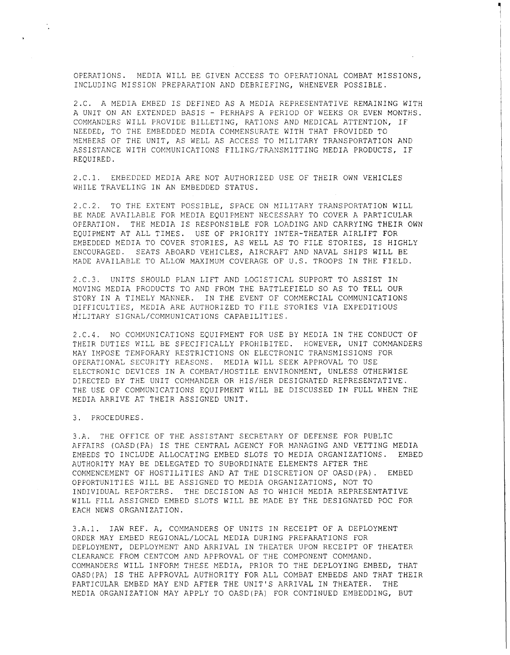OPERATIONS. MEDIA WILL BE GIVEN ACCESS TO OPERATIONAL COMBAT MISSIONS, INCLUDING MISSION PREPARATION AND DEBRIEFING, WHENEVER POSSIBLE.

~  $\mathbf{I}$ 

2.C. A MEDIA EMBED IS DEFINED AS A MEDIA REPRESENTATIVE REMAINING WITH A UNIT ON AN EXTENDED BASIS - PERHAPS A PERIOD OF WEEKS OR EVEN MONTHS. COMMANDERS WILL PROVIDE BILLETING, RATIONS AND MEDICAL ATTENTION, IF NEEDED, TO THE EMBEDDED MEDIA COMMENSURATE WITH THAT PROVIDED TO MEMBERS OF THE UNIT, AS WELL AS ACCESS TO MILITARY TRANSPORTATION AND ASSISTANCE WITH COMMUNICATIONS FILING/TRANSMITTING MEDIA PRODUCTS, IF REQUIRED.

2.C.l. EMBEDDED MEDIA ARE NOT AUTHORIZED USE OF THEIR OWN VEHICLES WHILE TRAVELING IN AN EMBEDDED STATUS.

2.C.2. TO THE EXTENT POSSIBLE, SPACE ON MILITARY TRANSPORTATION WILL BE MADE AVAILABLE FOR MEDIA EQUIPMENT NECESSARY TO COVER A PARTICULAR OPERATION. THE MEDIA IS RESPONSIBLE FOR LOADING AND CARRYING THEIR OWN EQUIPMENT AT ALL TIMES. USE OF PRIORITY INTER-THEATER AIRLIFT FOR EMBEDDED MEDIA TO COVER STORIES, AS WELL AS TO FILE STORIES, IS HIGHLY ENCOURAGED. SEATS ABOARD VEHICLES, AIRCRAFT AND NAVAL SHIPS WILL BE MADE AVAILABLE TO ALLOW MAXIMUM COVERAGE OF U.S. TROOPS IN THE FIELD.

2.C.3. UNITS SHOULD PLAN LIFT AND LOGISTICAL SUPPORT TO ASSIST IN MOVING MEDIA PRODUCTS TO AND FROM THE BATTLEFIELD SO AS TO TELL OUR STORY IN A TIMELY MANNER. IN THE EVENT OF COMMERCIAL COMMUNICATIONS DIFFICULTIES, MEDIA ARE AUTHORIZED TO FILE STORIES VIA EXPEDITIOUS <sup>I</sup> MILITARY SIGNAL/COMMUNICATIONS CAPABILITIES.

2.C.4. NO COMMUNICATIONS EQUIPMENT FOR USE BY MEDIA IN THE CONDUCT OF THEIR DUTIES WILL BE SPECIFICALLY PROHIBITED. HOWEVER, UNIT COMMANDERS MAY IMPOSE TEMPORARY RESTRICTIONS ON ELECTRONIC TRANSMISSIONS FOR OPERATIONAL SECURITY REASONS. MEDIA WILL SEEK APPROVAL TO USE ELECTRONIC DEVICES IN A COMBAT/HOSTILE ENVIRONMENT, UNLESS OTHERWISE DIRECTED BY THE UNIT COMMANDER OR HIS/HER DESIGNATED REPRESENTATIVE. THE USE OF COMMUNICATIONS EQUIPMENT WILL BE DISCUSSED IN FULL WHEN THE MEDIA ARRIVE AT THEIR ASSIGNED UNIT.

3. PROCEDURES.

 $\mathcal{L}_{\mathcal{L}}$ 

3.A. THE OFFICE OF THE ASSISTANT SECRETARY OF DEFENSE FOR PUBLIC AFFAIRS (OASD(PA) IS THE CENTRAL AGENCY FOR MANAGING AND VETTING MEDIA EMBEDS TO INCLUDE ALLOCATING EMBED SLOTS TO MEDIA ORGANIZATIONS. EMBED AUTHORITY MAY BE DELEGATED TO SUBORDINATE ELEMENTS AFTER THE COMMENCEMENT OF HOSTILITIES AND AT THE DISCRETION OF OASD(PA). EMBED OPPORTUNITIES WILL BE ASSIGNED TO MEDIA ORGANIZATIONS, NOT TO INDIVIDUAL REPORTERS. THE DECISION AS TO WHICH MEDIA REPRESENTATIVE WILL FILL ASSIGNED EMBED SLOTS WILL BE MADE BY THE DESIGNATED POC FOR EACH NEWS ORGANIZATION.

3.A.l. IAW REF. A, COMMANDERS OF UNITS IN RECEIPT OF A DEPLOYMENT ORDER MAY EMBED REGIONAL/LOCAL MEDIA DURING PREPARATIONS FOR DEPLOYMENT, DEPLOYMENT AND ARRIVAL IN THEATER UPON RECEIPT OF THEATER CLEARANCE FROM CENTCOM AND APPROVAL OF THE COMPONENT COMMAND. COMMANDERS WILL INFORM THESE MEDIA, PRIOR TO THE DEPLOYING EMBED, THAT OASD(PA) IS THE APPROVAL AUTHORITY FOR ALL COMBAT EMBEDS AND THAT THEIR PARTICULAR EMBED MAY END AFTER THE UNIT'S ARRIVAL IN THEATER. THE MEDIA ORGANIZATION MAY APPLY TO OASD(PA) FOR CONTINUED EMBEDDING, BUT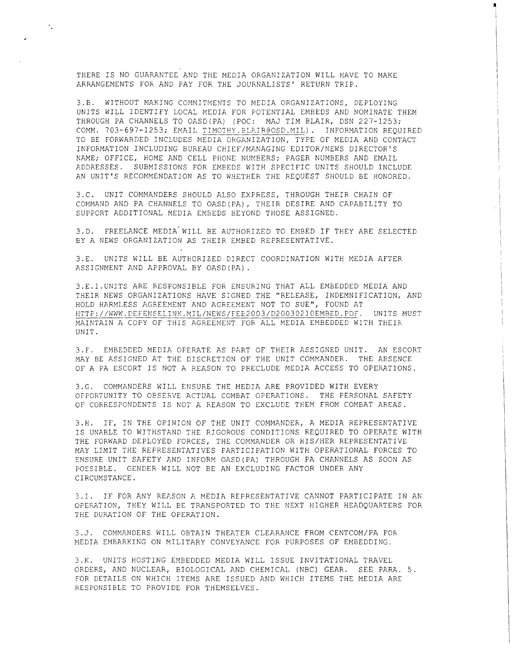THERE IS NO GUARANTEE AND THE MEDIA ORGANIZATION WILL HAVE TO MAKE ARRANGEMENTS FOR AND PAY FOR THE JOURNALISTS' RETURN TRIP.

٠.

~ I

3.B. WITHOUT MAKING COMMITMENTS TO MEDIA ORGANIZATIONS, DEPLOYING UNITS WILL IDENTIFY LOCAL MEDIA FOR POTENTIAL EMBEDS AND NOMINATE THEM THROUGH PA CHANNELS TO OASD(PA) (POC: MAJ TIM BLAIR, DSN 227-1253; COMM. 703-697-1253; EMAIL TIMOTHY.ELAIR@OSD.MIL). INFORMATION REQUIRED TO BE FORWARDED INCLUDES MEDIA ORGANIZATION, TYPE OF MEDIA AND CONTACT INFORMATION INCLUDING BUREAU CHIEF/MANAGING EDITOR/NEWS DIRECTOR'S NAME; OFFICE, HOME AND CELL PHONE NUMBERS; PAGER NUMBERS AND EMAIL ADDRESSES. SUBMISSIONS FOR EMBEDS WITH SPECIFIC UNITS SHOULD INCLUDE AN UNIT'S RECOMMENDATION AS TO WHETHER THE REQUEST SHOULD BE HONORED.

3.C. UNIT COMMANDERS SHOULD ALSO EXPRESS, THROUGH THEIR CHAIN OF COMMAND AND PA CHANNELS TO OASD(PA), THEIR DESIRE AND CAPABILITY TO SUPPORT ADDITIONAL MEDIA EMBEDS BEYOND THOSE ASSIGNED.

3.D. FREELANCE MEDIA<sup>\*</sup> WILL BE AUTHORIZED TO EMBED IF THEY ARE SELECTED BY A NEWS ORGANIZATION AS THEIR EMBED REPRESENTATIVE.

3.E. UNITS WILL BE AUTHORIZED DIRECT COORDINATION WITH MEDIA AFTER ASSIGNMENT AND APPROVAL BY OASD(PA).

3.E.1.UNITS ARE RESPONSIBLE FOR ENSURING THAT ALL EMBEDDED MEDIA AND THEIR NEWS ORGANIZATIONS HAVE SIGNED THE ''RELEASE, INDEMNIFICATION, AND HOLD HARMLESS AGREEMENT AND AGREEMENT NOT TO SUE", FOUND AT HTTP://WWW.DEFENSELINK.MIL/NEWS/FEE2003/D20030210EMBED.PDF. UNITS MUST MAINTAIN A COPY OF THIS AGREEMENT FOR ALL MEDIA EMBEDDED WITH THEIR UNIT.

3.F. EMBEDDED MEDIA OPERATE AS PART OF THEIR ASSIGNED UNIT. AN ESCORT MAY BE ASSIGNED AT THE DISCRETION OF THE UNIT COMMANDER. THE ABSENCE OF A PA ESCORT IS NOT A REASON TO PRECLUDE MEDIA ACCESS TO OPERATIONS.

3.G. COMMANDERS WILL ENSURE THE MEDIA ARE PROVIDED WITH EVERY OPPORTUNITY TO OBSERVE ACTUAL COMBAT OPERATIONS. THE PERSONAL SAFETY OF CORRESPONDENTS IS NOT A REASON TO EXCLUDE THEM FROM COMBAT AREAS.

3.H. IF, *IN* THE OPINION OF THE UNIT COMMANDER, A MEDIA REPRESENTATIVE IS UNABLE TO WITHSTAND THE RIGOROUS CONDITIONS REQUIRED TO OPERATE WITH THE FORWARD DEPLOYED FORCES, THE COMMANDER OR HIS/HER REPRESENTATIVE MAY LIMIT THE REPRESENTATIVES PARTICIPATION WITH OPERATIONAL FORCES TO ENSURE UNIT SAFETY AND INFORM OASD(PA) THROUGH PA CHANNELS AS SOON AS POSSIBLE. GENDER WILL NOT BE AN EXCLUDING FACTOR UNDER ANY CIRCUMSTANCE.

3.I. IF FOR ANY REASON A MEDIA REPRESENTATIVE CANNOT PARTICIPATE IN AN OPERATION, THEY WILL BE TRANSPORTED TO THE NEXT HIGHER HEADQUARTERS FOR THE DURATION OF THE OPERATION.

3.J. COMMANDERS WILL OBTAIN THEATER CLEARANCE FROM CENTCOM/PA FOR MEDIA EMBARKING ON MILITARY CONVEYANCE FOR PURPOSES OF EMBEDDING.

3.K. UNITS HOSTING EMBEDDED MEDIA WILL ISSUE INVITATIONAL TRAVEL ORDERS, AND NUCLEAR, BIOLOGICAL AND CHEMICAL (NBC) GEAR. SEE PARA. 5. FOR DETAILS ON WHICH ITEMS ARE ISSUED AND WHICH ITEMS THE MEDIA ARE RESPONSIBLE TO PROVIDE FOR THEMSELVES.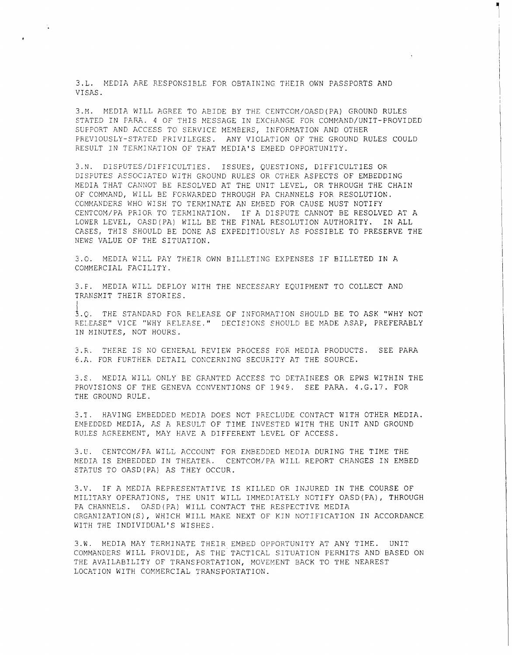3.L. MEDIA ARE RESPONSIBLE FOR OBTAINING THEIR OWN PASSPORTS AND VISAS.

 $\ddot{\cdot}$ 

3.M. MEDIA WILL AGREE TO ABIDE BY THE CENTCOM/OASD(PA) GROUND RULES STATED IN PARA. 4 OF THIS MESSAGE IN EXCHANGE FOR COMMAND/UNIT-PROVIDED SUPPORT AND ACCESS TO SERVICE MEMBERS, INFORMATION AND OTHER PREVIOUSLY-STATED PRIVILEGES. ANY VIOLATION OF THE GROUND RULES COULD RESULT IN TERMINATION OF THAT MEDIA'S EMBED OPPORTUNITY.

~ I

3.N. DISPUTES/DIFFICULTIES. ISSUES, QUESTIONS, DIFFICULTIES OR DISPUTES ASSOCIATED WITH GROUND RULES OR OTHER ASPECTS OF EMBEDDING MEDIA THAT CANNOT BE RESOLVED AT THE UNIT LEVEL, OR THROUGH THE CHAIN OF COMMAND, WILL BE FORWARDED THROUGH PA CHANNELS FOR RESOLUTION. COMMANDERS WHO WISH TO TERMINATE AN EMBED FOR CAUSE MUST NOTIFY CENTCOM/PA PRIOR TO TERMINATION. IF A DISPUTE CANNOT BE RESOLVED AT A LOWER LEVEL, OASD(PA) WILL BE THE FINAL RESOLUTION AUTHORITY. IN ALL CASES, THIS SHOULD BE DONE AS EXPEDITIOUSLY AS POSSIBLE TO PRESERVE THE NEWS VALUE OF THE SITUATION.

3.0. MEDIA WILL PAY THEIR OWN BILLETING EXPENSES IF BILLETED IN A COMMERCIAL FACILITY.

3.F. MEDIA WILL DEPLOY WITH THE NECESSARY EQUIPMENT TO COLLECT AND TRANSMIT THEIR STORIES.

3.0. THE STANDARD FOR RELEASE OF INFORMATION SHOULD BE TO ASK "WHY NOT RELEASE" VICE "WHY RELEASE." DECISIONS SHOULD BE MADE ASAP, PREFERABLY IN MINUTES, NOT HOURS.

3.R. THERE IS NO GENERAL REVIEW PROCESS FOR MEDIA PRODUCTS. SEE PARA 6.A. FOR FURTHER DETAIL CONCERNING SECURITY AT THE SOURCE.

3.S. MEDIA WILL ONLY BE GRANTED ACCESS TO DETAINEES OR EPWS WITHIN THE PROVISIONS OF THE GENEVA CONVENTIONS OF 1949. SEE PARA. 4.G.17. FOR THE GROUND RULE.

3.T. HAVING EMBEDDED MEDIA DOES NOT PRECLUDE CONTACT WITH OTHER MEDIA. EMBEDDED MEDIA, AS A RESULT OF TIME INVESTED WITH THE UNIT AND GROUND RULES AGREEMENT, MAY HAVE A DIFFERENT LEVEL OF ACCESS.

3.U. CENTCOM/PA WILL ACCOUNT FOR EMBEDDED MEDIA DURING THE TIME THE MEDIA IS EMBEDDED IN THEATER. CENTCOM/PA WILL REPORT CHANGES IN EMBED STATUS TO OASD(PA) AS THEY OCCUR.

3.V. IF A MEDIA REPRESENTATIVE IS KILLED OR INJURED IN THE COURSE OF MILITARY OPERATIONS, THE UNIT WILL IMMEDIATELY NOTIFY OASD(PA), THROUGH PA CHANNELS. OASD(PA) WILL CONTACT THE RESPECTIVE MEDIA ORGANIZATION(S), WHICH WILL MAKE NEXT OF KIN NOTIFICATION IN ACCORDANCE WITH THE INDIVIDUAL'S WISHES.

3.W. MEDIA MAY TERMINATE THEIR EMBED OPPORTUNITY AT ANY TIME. UNIT COMMANDERS WILL PROVIDE, AS THE TACTICAL SITUATION PERMITS AND BASED ON THE AVAILABILITY OF TRANSPORTATION, MOVEMENT BACK TO THE NEAREST LOCATION WITH COMMERCIAL TRANSPORTATION.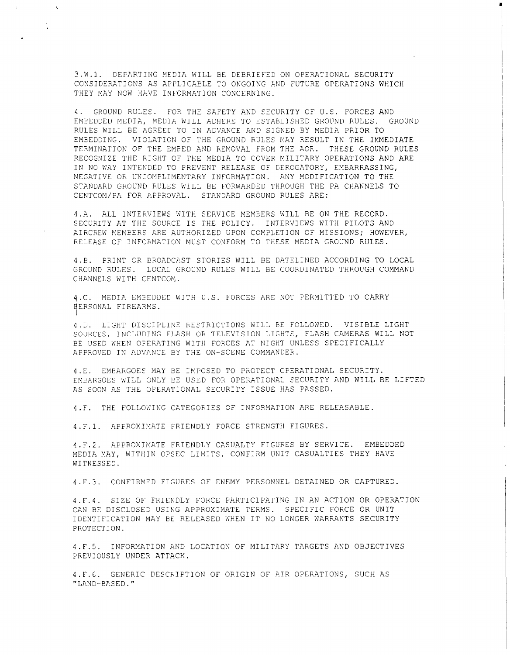3.W.1. DEPARTING MEDIA WILL BE DEBRIEFED ON OPERATIONAL SECURITY CONSIDERATIONS AS APPLICABLE TO ONGOING AND FUTURE OPERATIONS WHICH THEY MAY NOW HAVE INFORMATION CONCERNING.

 $\chi$ 

 $\frac{1}{2}$ 

 $\mathbb{I}$  . I

4. GROUND RULES. FOR THE SAFETY AND SECURITY OF U.S. FORCES AND EMBEDDED MEDIA, MEDIA WILL ADHERE TO ESTABLISHED GROUND RULES. GROUND RULES WILL BE AGREED TO IN ADVANCE AND SIGNED BY MEDIA PRIOR TO EMBEDDING. VIOLATION OF THE GROUND RULES MAY RESULT IN THE IMMEDIATE TERMINATION OF THE EMBED AND REMOVAL FROM THE AOR. THESE GROUND RULES RECOGNIZE THE RIGHT OF THE MEDIA TO COVER MILITARY OPERATIONS AND ARE IN NO WAY INTENDED TO PREVENT RELEASE OF DEROGATORY, EMBARRASSING, NEGATIVE OR UNCOMPLIMENTARY INFORMATION. ANY MODIFICATION TO THE STANDARD GROUND RULES WILL BE FORWARDED THROUGH THE PA CHANNELS TO CENTCOM/PA FOR APPROVAL. STANDARD GROUND RULES ARE:

4.A. ALL INTERVIEWS WITH SERVICE MEMBERS WILL BE ON THE RECORD. SECURITY AT THE SOURCE IS THE POLICY. INTERVIEWS WITH PILOTS AND AIRCREW MEMBERS ARE AUTHORIZED UPON COMPLETION OF MISSIONS; HOWEVER, RELEASE OF INFORMATION MUST CONFORM TO THESE MEDIA GROUND RULES.

4.B. PRINT OR BROADCAST STORIES WILL BE DATELINED ACCORDING TO LOCAL GROUND RULES. LOCAL GROUND RULES WILL BE COORDINATED THROUGH COMMAND CHANNELS WITH CENTCOM.

4.C. MEDIA EMBEDDED WITH U.S. FORCES ARE NOT PERMITTED TO CARRY PERSONAL FIREARMS. I

4.0. LIGHT DISCIPLINE RESTRICTIONS WILL BE FOLLOWED. VISIBLE LIGHT SOURCES, INCLUDING FLASH OR TELEVISION LIGHTS, FLASH CAMERAS WILL NOT BE USED WHEN OPERATING WITH FORCES AT NIGHT UNLESS SPECIFICALLY APPROVED IN ADVANCE EY THE ON-SCENE COMMANDER.

4.E. EMBARGOES MAY BE IMPOSED TO PROTECT OPERATIONAL SECURITY. EMBARGOES WILL ONLY BE USED FOR OPERATIONAL SECURITY AND WILL BE LIFTED AS SOON AS THE OPERATIONAL SECURITY ISSUE HAS PASSED.

4.F. THE FOLLOWING CATEGORIES OF INFORMATION ARE RELEASABLE.

4.F.l. APPROXIMATE FRIENDLY FORCE STRENGTH FIGURES.

4.F.2. APPROXIMATE FRIENDLY CASUALTY FIGURES BY SERVICE. EMBEDDED MEDIA MAY, WITHIN OPSEC LIMITS, CONFIRM UNIT CASUALTIES THEY HAVE WITNESSED.

4.F.3. CONFIRMED FIGURES OF ENEMY PERSONNEL DETAINED OR CAPTURED.

4.F.4. SIZE OF FRIENDLY FORCE PARTICIPATING IN AN ACTION OR OPERATION CAN BE DISCLOSED USING APPROXIMATE TERMS. SPECIFIC FORCE OR UNIT IDENTIFICATION MAY BE RELEASED WHEN IT NO LONGER WARRANTS SECURITY PROTECTION.

4.F.5. INFORMATION AND LOCATION OF MILITARY TARGETS AND OBJECTIVES PREVIOUSLY UNDER ATTACK.

4.F.6. GENERIC DESCRIPTION OF ORIGIN OF AIR OPERATIONS, SUCH AS "LAND-BASED."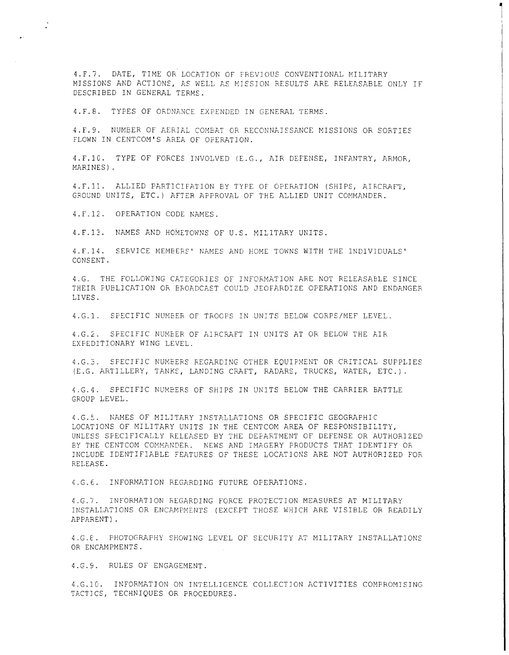4.F.7. DATE, TIME OK LOCATION OF PREVIOUS CONVENTIONAL MILITARY MISSIONS AND ACTIONS, AS WELL AS MISSION RESULTS ARE RELEASABLE ONLY IF DESCRIBED IN GENERAL TERMS.

~ I

4. F. 8. TYPES OF ORDNANCE EXPENDED IN GENERAL TERMS.

4.F.9. NUMBER OF AERIAL COMBAT OR RECONNAISSANCE MISSIONS OR SOKTIES FLOWN IN CENTCOM'S AREA OF OPERATION.

4.F.l0. TYPE OF FORCES INVOLVED (E.G., AIR DEFENSE, INFANTRY, ARMOK, MARINES) .

4. F. 11. ALLIED PARTICIFATION BY TYPE OF OPERATION (SHIPS, AIRCRAFT, GROUND UNITS, ETC.) AFTER APPROVAL OF THE ALLIED UNIT COMMANDER.

4.F.l2. OPERATION CODE NAMES.

4.F.l3. NAMES AND HOMETOWNS OF U.S. MILITARY UNITS.

4.F.l4. SERVICE MEMBERS' NAMES AND HOME TOWNS WITH THE INDIVIDUALS' CONSENT.

4.G. THE FOLLOWING CATEGORIES OF INFORMATION ARE NOT RELEASABLE SINCE THEIR PUBLICATION OR BROADCAST COULD JEOPARDIZE OPERATIONS AND ENDANGER LIVES.

4.G.l. SPECIFIC NUMBER OF TROOPS IN UNITS BELOW CORPS/MEF LEVEL.

4.G.2. SPECIFIC NUMEER OF AIRCRAFT IN UNITS AT OR BELOW THE AIR EXPEDITIONARY WING LEVEL.

4.G.3. SPECIFIC NUMBERS KEGARDING OTHER EQUIPMENT OR CRITICAL SUPPLIES (E.G. ARTILLERY, TANKS, LANDING CRAFT, RADARS, TRUCKS, WATER, ETC.).

4.G.4. SPECIFIC NUMBERS OF SHIPS IN UNITS BELOW THE CARRIER BATTLE GROUP LEVEL.

4.G.S. NAMES OF MILITARY INSTALLATIONS OR SPECIFIC GEOGRAPHIC LOCATIONS OF MILITARY UNITS IN THE CENTCOM AREA OF RESPONSIBILITY, UNLESS SPECIFICALLY RELEASED BY THE DEPARTMENT OF DEFENSE OR AUTHORIZED BY THE CENTCOM COMMANDEK. NEWS AND IMAGERY PRODUCTS THAT IDENTIFY OR INCLUDE IDENTIFIABLE FEATURES OF THESE LOCATIONS ARE NOT AUTHORIZED FOR RELEASE.

4.G.6. INFORMATION REGARDING FUTURE OPERATIONS.

4.G.7. INFORMATION REGARDING FORCE PROTECTION MEASURES AT MILITARY INSTALLATIONS OR ENCAMPMENTS (EXCEPT THOSE WHICH ARE VISIBLE OR READILY APPARENT).

4.G.E. PHOTOGRAPHY SHOWING LEVEL OF SECURITY AT MILITARY INSTALLATIONS OR ENCAMPMENTS.

4.G.9. RULES OF ENGAGEMENT.

4.G.lG. INFORMATION ON INTELLIGENCE COLLECTION ACTIVITIES COMPROMISING TACTICS, TECHNIQUES OR PROCEDURES.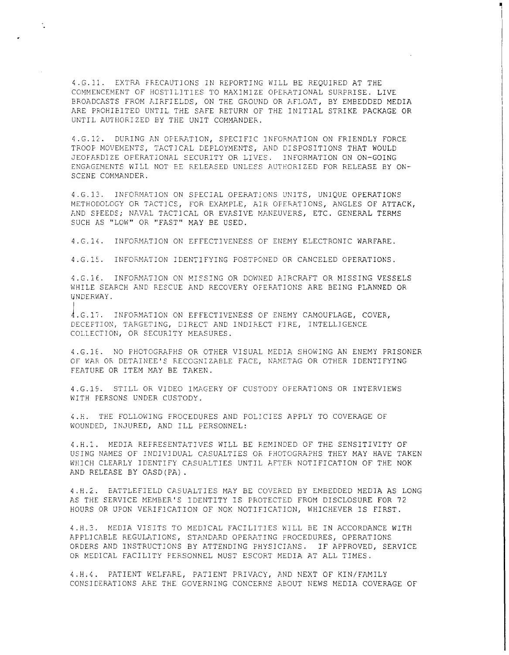4.6.11. EXTRA FRECAUTIONS IN REPORTING WILL BE REQUIRED AT THE COMMENCEMENT OF HOSTILITIES TO MAXIMIZE OPERATIONAL SURPRISE. LIVE BROADCASTS FROM hiRFIELDS, ON THE GROUND OR AFLOAT, BY EMBEDDED MEDIA ARE PROHIBITED UNTIL THE SAFE RETURN OF THE INITIAL STRIKE PACKAGE OR UNTIL AUTHORIZED BY THE UNIT COMMANDER.

 $\ddot{\cdot}$ 

~ I

4.G.12. DURING AN OFERATION, SPECIFIC INFORMATION ON FRIENDLY FORCE TROOP MOVEMENTS, TACTICAL DEPLOYMENTS, AND DISPOSITIONS THAT WOULD JEOFARDIZE OPERATIONAL SECURITY OR LIVES. INFORMATION ON ON-GOING ENGAGEMENTS WILL NOT BE RELEASED UNLESS AUTHORIZED FOR RELEASE BY ON-SCENE COMMANDER.

4. G. 13. INFORMATION ON SPECIAL OPERATIONS UNITS, UNIQUE OPERATIONS METHODOLOGY OR TACTICS, FOR EXAMPLE, AIR OFERATIONS, ANGLES OF ATTACK, AND SPEEDS; NAVAL TACTICAL OR EVASIVE MANEUVERS, ETC. GENERAL TERMS SUCH AS "LOW" OR "FAST" MAY BE USED.

4.G.l,. INFORMATION ON EFFECTIVENESS OF ENEMY ELECTRONIC WARFARE.

4.G.l5. INFORMATION IDENTIFYING POSTPONED OR CANCELED OPERATIONS.

4.G.16. INFORMATION ON MISSING OR DOWNED AIRCRAFT OR MISSING VESSELS WHILE SEARCH AND RESCUE AND RECOVERY OFERATIONS ARE BEING PLANNED OR UNDERWAY.

J. G. 17. INFORMATION ON EFFECTIVENESS OF ENEMY CAMOUFLAGE, COVER, DECEPTION, TARGETING, DIRECT AND INDIRECT FIRE, INTELLIGENCE COLLECTION, OR SECURITY MEASURES.

4.G.18. NO PHOTOGRAPHS OR OTHER VISUAL MEDIA SHOWING AN ENEMY PRISONER OF WAR OR DETAINEE'S RECOGNIZABLE FACE, NAMETAG OR OTHER IDENTIFYING FEATURE OR ITEM MAY BE TAKEN.

4.G.l9. STILL OR VIDEO IMAGERY OF CUSTODY OPERATIONS OR INTERVIEWS WITH PERSONS UNDER CUSTODY.

~.H. THE FOLLOVJING FROCEDURES AND POLICIES APPLY TO COVERAGE OF WOUNDED, INJURED, AND ILL PERSONNEL:

4.H.l. MEDIA REFRESENTATIVES WILL BE REMINDED OF THE SENSITIVITY OF USING NAMES OF INDIVIDUAL CASUALTIES OR PHOTOGRAPHS THEY MAY HAVE TAKEN WHICH CLEARLY IDENTIFY CASUALTIES UNTIL AFTER NOTIFICATION OF THE NOK AND RELEASE BY OASD(PA).

4.H.2. BATTLEFIELD CASUALTIES MAY BE COVERED BY EMBEDDED MEDIA AS LONG AS THE SERVICE MEMBER'S IDENTITY IS PROTECTED FROM DISCLOSURE FOR 72 HOURS OR UPON VERIFICATION OF NOK NOTIFICATION, WHICHEVER IS FIRST.

4.H.3. MEDIA VISITS TO MEDICAL FACILITIES WILL BE IN ACCORDANCE WITH APPLICABLE REGULATIONS, STANDARD OPERATING PROCEDURES, OPERATIONS ORDERS AND INSTRUCTIONS BY ATTENDING PHYSICIANS. IF APPROVED, SERVICE OR MEDICAL FACILITY PERSONNEL MUST ESCORT MEDIA AT ALL TIMES.

4.H.4. PATIENT WELFARE, PATIENT PRIVACY, AND NEXT OF KIN/FAMILY CONSIDERATIONS ARE THE GOVERNING CONCERNS ABOUT NEWS MEDIA COVERAGE OF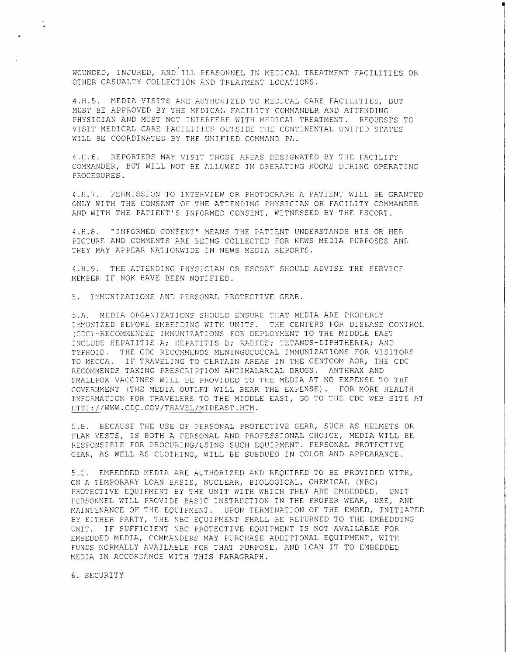WOUNDED, INJURED, AND ILL PERSONNEL IN MEDICAL TREATMENT FACILITIES OR OTHER CASUALTY COLLECTION AND TREATMENT LOCATIONS.

• I

4.H.5. MEDIA VISITS ARE AUTHORIZED TO MEDICAL CARE FACILITIES, BUT MUST BE APPROVED BY THE MEDICAL FACILITY COMMANDER AND ATTENDING PHYSICIAN AND MUST NOT INTERFERE WITH MEDICAL TREATMENT. REQUESTS TO VISIT MEDICAL CARE FACILITIES OUTSIDE THE CONTINENTAL UNITED STATES WILL BE COORDINATED BY THE UNIFIED COMMAND PA.

4.H.6. REPORTERS MAY VISIT THOSE AREAS DESIGNATED BY THE FACILITY COMMANDER, BUT WILL NOT BE ALLOWED IN OFERATING ROOMS DURING OPERATING PROCEDURES.

4 .H. 7. PERMISSION TO INTERVIEW OR PHOTOGRAPH A PATIENT WILL BE GRANTED ONLY WITH THE CONSENT OF THE ATTENDING PHYSICIAN OR FACILITY COMMANDER AND WITH THE PATIENT'S INFORMED CONSENT, WITNESSED BY THE ESCORT.

4. H. 6. "INFORMED CONSENT" MEANS THE PATIENT UNDERSTANDS HIS OR HER PICTURE AND COMMENTS ARE BEING COLLECTED FOR NEWS MEDIA PURPOSES AND THEY MAY APPEAR NATIONWIDE IN NEWS MEDIA REPORTS.

4.H.9. THE ATTENDING PHYSICIAN OR ESCORT SHOULD ADVISE THE SERVICE MEMBER IF NOK HAVE BEEN NOTIFIED.

5. IMMUNIZATIONS AND PERSONAL PROTECTIVE GEAR.

5.A. MEDIA ORGANIZATIONS SHOULD ENSURE THAT MEDIA ARE PROPERLY IMMUNIZED BEFORE EMBEDDING WITH UNITS. THE CENTERS FOR DISEASE CONTROL (CDC)-RECOMMENDED IMMUNIZATIONS FOR DEPLOYMENT TO THE MIDDLE EAST INCLUDE HEPATITIS A; HEPATITIS B; RAEIES; TETANUS-DIPHTHERIA; AND TYPHOID. THE CDC RECOMMENDS MENINGOCOCCAL IMMUNIZATIONS FOR VISITORS TO MECCA. IF TRAVELING TO CERTAIN AREAS IN THE CENTCOM AOR, THE CDC RECOMMENDS TAKING PRESCRIPTION ANTIMALARIAL DRUGS. ANTHRAX AND SMALLPOX VACCINES WILL EE PROVIDED TO THE MEDIA AT NO EXPENSE TO THE GOVERNMENT (THE MEDIA OUTLET WILL BEAR THE EXPENSE). FOR MORE HEALTH INFORMATION FOR TRAVELERS TO THE MIDDLE EAST, GO TO THE CDC WEB SITE AT HTTF://WWW.CDC.GOV/TRAVEL/MIDEAST.HTM.

5.B. BECAUSE THE USE OF PERSONAL PROTECTIVE GEAR, SUCH AS HELMETS OR FLAK VESTS, IS BOTH A PERSONAL AND PROFESSIONAL CHOICE, MEDIA WILL BE RESPONSIBLE FOR PROCURING/USING SUCH EQUIPMENT. PERSONAL PROTECTIVE GEAR, AS WELL AS CLOTHING, WILL BE SUBDUED IN COLOR AND APPEARANCE.

5.C. EMBEDDED MEDIA ARE AUTHORIZED AND REQUIRED TO BE PROVIDED WITH, ON A TEMPORARY LOAN EASIS, NUCLEAR, BIOLOGICAL, CHEMICAL (NBC) PROTECTIVE EQUIPMENT BY THE UNIT WITH WHICH THEY ARE EMBEDDED. UNIT PERSONNEL WILL PROVIDE BASIC INSTRUCTION IN THE PROPER WEAR, USE, ANC MAINTENANCE OF THE EQUIPMENT. UPON TERMINATION OF THE EMBED, INITIATED BY EITHER PARTY, THE NBC EQUIPMENT SHALL BE RETURNED TO THE EMBEDDING UNIT. IF SUFFICIENT NBC PROTECTIVE EQUIPMENT IS NOT AVAILABLE FOR EMBEDDED MEDIA, COMMANDERS MAY PURCHASE ADDITIONAL EQUIPMENT, WITH FUNDS NORMALLY AVAILABLE FOR THAT PURPOSE, AND LOAN IT TO EMBEDDED MEDIA IN ACCORDANCE WITH THIS PARAGRAPH.

6. SECURITY

 $\ddot{\cdot}$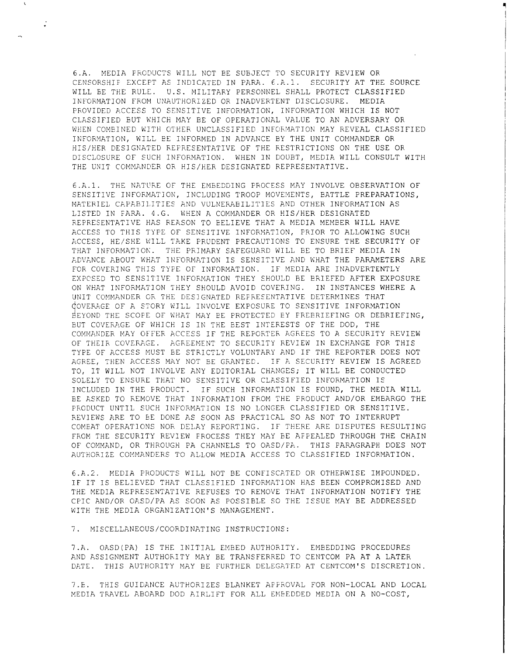6.A. MEDIA PRODUCTS WILL NOT BE SUBJECT TO SECURITY REVIEW OR CENSORSHIF EXCEPT AS INDICATED IN PARA.  $\epsilon.A.1$ . SECURITY AT THE SOURCE WILL BE THE RULE. U.S. MILITARY PERSONNEL SHALL PROTECT CLASSIFIED INFORMATION FROM UNAUTHORIZED OR INADVERTENT DISCLOSURE. MEDIA PROVIDED ACCESS TO SENSITIVE INFORMATION, INFORMATION WHICH IS NOT CLASSIFIED BUT WHICH MAY BE OF OPERATIONAL VALUE TO AN ADVERSARY OR WHEN COMBINED WITH OTHER UNCLASSIFIED INFORMATION MAY REVEAL CLASSIFIED INFORMATION, WILL BE INFORMED IN ADVANCE BY THE UNIT COMMANDER OR HIS/HER DESIGNATED REPRESENTATIVE OF THE RESTRICTIONS ON THE USE OR DISCLOSURE OF SUCH INFORMATION. WHEN IN DOUBT, MEDIA WILL CONSULT WITH THE UNIT COMMANDER OR HIS/HER DESIGNATED REPRESENTATIVE.

 $\ddot{\cdot}$ 

6.A.l. THE NATURE OF THE EMBEDDING PROCESS MAY INVOLVE OBSERVATION OF SENSITIVE INFORMATION, INCLUDING TROOP MOVEMENTS, BATTLE PREPARATIONS, MATERIEL CAPABILITIES AND VULNERABILITIES AND OTHER INFORMATION AS LISTED IN FARA. 4.G. WHEN A COMMANDER OR HIS/HER DESIGNATED REPRESENTATIVE HAS REASON TO BELIEVE THAT A MEDIA MEMBER WILL HAVE ACCESS TO THIS TYPE OF SENSITIVE INFORMATION, PRIOR TO ALLOWING SUCH ACCESS, HE/SHE WILL TAKE PRUDENT PRECAUTIONS TO ENSURE THE SECURITY OF THAT INFORMATIOK. THE PRIMARY SAFEGUARD WILL BE TO BRIEF MEDIA IN ADVANCE ABOUT WHAT INFORMATION IS SENSITIVE AND WHAT THE PARAMETERS ARE FOR COVERING THIS TYPE OF INFORMATION. IF MEDIA ARE INADVERTENTLY EXPCSED TO SENSITIVE INFORMATION THEY SHOULD BE BRIEFED AFTER EXPOSURE ON WHAT INFORMATION THEY SHOULD AVOID COVERING. IN INSTANCES WHERE A UNIT COMMANDER OR THE DESIGNATED REPRESENTATIVE DETERMINES THAT GOVERAGE OF A STORY WILL INVOLVE EXPOSURE TO SENSITIVE INFORMATION EEYOND THE SCOPE OF WHAT MAY BE PROTECTED BY FREBRIEFING OR DEBRIEFING, BUT COVERAGE OF WHICH IS IN THE BEST INTERESTS OF THE DOD, THE COMMANDER MAY OFFER ACCESS IF THE REPORTER AGREES TO A SECURITY REVIEW OF THEIR COVERAGE. AGREEMENT TO SECURITY REVIEW IN EXCHANGE FOR THIS TYPE OF ACCESS MUST BE STRICTLY VOLUNTARY AND IF THE REPORTER DOES NOT AGREE, THEN ACCESS MAY NOT BE GRANTED. IF A SECURITY REVIEW IS AGREED TO, IT WILL NOT INVOLVE ANY EDITORIAL CHANGES; IT WILL BE CONDUCTED SOLELY TO ENSURE THAT NO SENSITIVE OR CLASSIFIED INFORMATION IS INCLUDED IN THE PRODUCT. IF SUCH INFORMATION IS FOUND, THE MEDIA WILL BE ASKED TO REMOVE THAT INFORMATION FROM THE PRODUCT AND/OR EMBARGO THE PRODUCT UNTIL SUCH INFORMATION IS NO LONGER CLASSIFIED OR SENSITIVE. REVIEWS ARE TO EE DONE AS SOON AS PRACTICAL SO AS NOT TO INTERRUPT COMEAT OPERATIONS NOR DELAY REPORTING. IF THERE ARE DISPUTES RESULTING FROM THE SECURITY REVIEW PROCESS THEY MAY BE APPEALED THROUGH THE CHAIN OF COMMAND, OR THROUGH PA CHANNELS TO OASD/PA. THIS PARAGRAPH DOES NOT AUTHORIZE COMMANDERS TO ALLOW MEDIA ACCESS TO CLASSIFIED INFORMATION.

6.A.2. MEDIA PRODUCTS WILL NOT BE CONFISCATED OR OTHERWISE IMPOUNDED. IF IT IS BELIEVED THAT CLASSIFIED INFORMATION HAS BEEN COMPROMISED AND THE MEDIA REPRESENTATIVE REFUSES TO REMOVE THAT INFORMATION NOTIFY THE CPIC AND/OR OASD/PA AS SOON AS POSSIBLE SO THE ISSUE MAY BE ADDRESSED WITH THE MEDIA ORGANIZATION'S MANAGEMENT.

7. MISCELLANEOUS/COORDINATING INSTRUCTIONS:

7.A. OASD(PA) IS THE INITIAL EMBED AUTHORITY. EMBEDDING PROCEDURES AND ASSIGNMENT AUTHORITY MAY BE TRANSFERRED TO CENTCOM PA AT A LATER DATE. THIS AUTHORITY MAY BE FURTHER DELEGATED AT CENTCOM'S DISCRETION.

7.E. THIS GUIDANCE AUTHORIZES BLANKET APPROVAL FOR NON-LOCAL AND LOCAL MEDIA TRAVEL ABOARD DOD AIRLIFT FOR ALL EMBEDDED MEDIA ON A NO-COST,